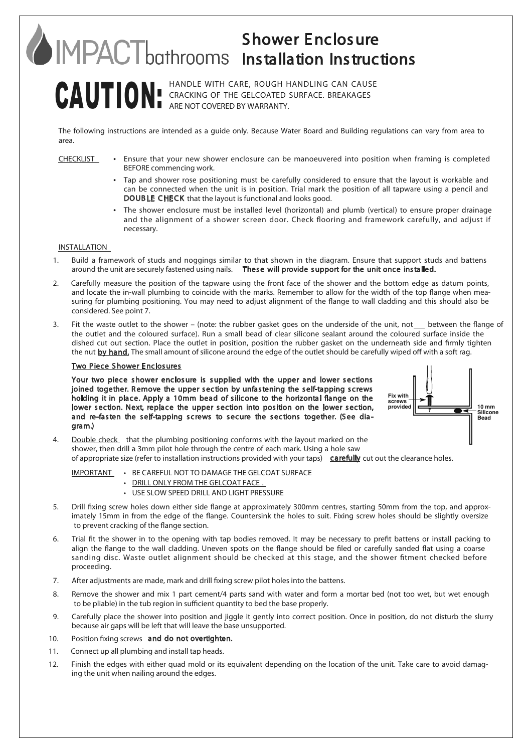## Shower Enclosure Installation Instructions

## CAUTION: HANDLE WITH CARE, ROUGH HANDLING CAN CAUSE CRACKING OF THE GELCOATED SURFACE. BREAKAGES ARE NOT COVERED BY WARRANTY.

The following instructions are intended as a guide only. Because Water Board and Building regulations can vary from area to area.

- 
- CHECKLIST Ensure that your new shower enclosure can be manoeuvered into position when framing is completed BEFORE commencing work.
	- Tap and shower rose positioning must be carefully considered to ensure that the layout is workable and can be connected when the unit is in position. Trial mark the position of all tapware using a pencil and DOUBLE CHECK that the layout is functional and looks good.
	- The shower enclosure must be installed level (horizontal) and plumb (vertical) to ensure proper drainage and the alignment of a shower screen door. Check flooring and framework carefully, and adjust if necessary.

## INSTALLATION

- 1. Build a framework of studs and noggings similar to that shown in the diagram. Ensure that support studs and battens around the unit are securely fastened using nails. These will provide support for the unit once installed.
- 2. Carefully measure the position of the tapware using the front face of the shower and the bottom edge as datum points, and locate the in-wall plumbing to coincide with the marks. Remember to allow for the width of the top flange when measuring for plumbing positioning. You may need to adjust alignment of the flange to wall cladding and this should also be considered. See point 7.
- 3. Fit the waste outlet to the shower (note: the rubber gasket goes on the underside of the unit, not setween the flange of the outlet and the coloured surface). Run a small bead of clear silicone sealant around the coloured surface inside the dished cut out section. Place the outlet in position, position the rubber gasket on the underneath side and firmly tighten the nut by hand. The small amount of silicone around the edge of the outlet should be carefully wiped off with a soft rag.

## Two Piece Shower Enclosures

Your two piece shower enclosure is supplied with the upper and lower sections joined together. Remove the upper section by unfastening the self-tapping screws holding it in place. Apply a 10mm bead of silicone to the horizontal flange on the lower section. Next, replace the upper section into position on the lower section, and re-fasten the self-tapping screws to secure the sections together. (See diagram.)



4. Double check that the plumbing positioning conforms with the layout marked on the shower, then drill a 3mm pilot hole through the centre of each mark. Using a hole saw of appropriate size (refer to installation instructions provided with your taps) carefully cut out the clearance holes.

IMPORTANT • BE CAREFUL NOT TO DAMAGE THE GELCOAT SURFACE

- DRILL ONLY FROM THE GELCOAT FACE.
- USE SLOW SPEED DRILL AND LIGHT PRESSURE
- 5. Drill fixing screw holes down either side flange at approximately 300mm centres, starting 50mm from the top, and approximately 15mm in from the edge of the flange. Countersink the holes to suit. Fixing screw holes should be slightly oversize to prevent cracking of the flange section.
- 6. Trial fit the shower in to the opening with tap bodies removed. It may be necessary to prefit battens or install packing to align the flange to the wall cladding. Uneven spots on the flange should be filed or carefully sanded flat using a coarse sanding disc. Waste outlet alignment should be checked at this stage, and the shower fitment checked before proceeding.
- 7. After adjustments are made, mark and drill fixing screw pilot holes into the battens.
- 8. Remove the shower and mix 1 part cement/4 parts sand with water and form a mortar bed (not too wet, but wet enough to be pliable) in the tub region in sufficient quantity to bed the base properly.
- 9. Carefully place the shower into position and jiggle it gently into correct position. Once in position, do not disturb the slurry because air gaps will be left that will leave the base unsupported.
- 10. Position fixing screws and do not overtighten.
- 11. Connect up all plumbing and install tap heads.
- 12. Finish the edges with either quad mold or its equivalent depending on the location of the unit. Take care to avoid damaging the unit when nailing around the edges.